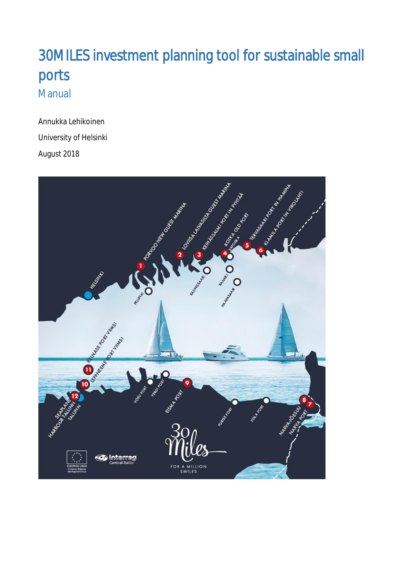# 30MILES investment planning tool for sustainable small ports Manual

Annukka Lehikoinen University of Helsinki August 2018

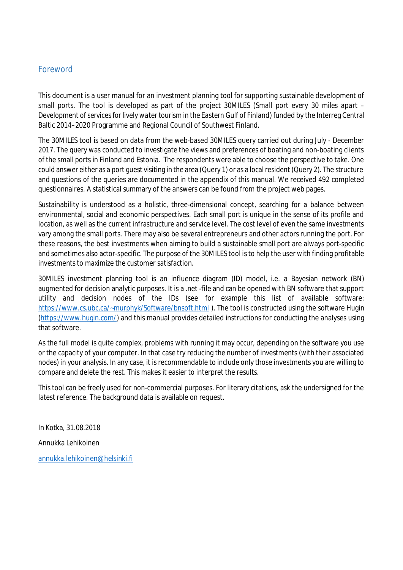### Foreword

This document is a user manual for an investment planning tool for supporting sustainable development of small ports. The tool is developed as part of the project 30MILES (*Small port every 30 miles apart – Development of services for lively water tourism in the Eastern Gulf of Finland*) funded by the Interreg Central Baltic 2014–2020 Programme and Regional Council of Southwest Finland.

The 30MILES tool is based on data from the web-based 30MILES query carried out during July - December 2017. The query was conducted to investigate the views and preferences of boating and non-boating clients of the small ports in Finland and Estonia. The respondents were able to choose the perspective to take. One could answer either as a port guest visiting in the area (Query 1) or as a local resident (Query 2). The structure and questions of the queries are documented in the appendix of this manual. We received 492 completed questionnaires. A statistical summary of the answers can be found from the project web pages.

Sustainability is understood as a holistic, three-dimensional concept, searching for a balance between environmental, social and economic perspectives. Each small port is unique in the sense of its profile and location, as well as the current infrastructure and service level. The cost level of even the same investments vary among the small ports. There may also be several entrepreneurs and other actors running the port. For these reasons, the best investments when aiming to build a sustainable small port are always port-specific and sometimes also actor-specific. The purpose of the 30MILES tool is to help the user with finding profitable investments to maximize the customer satisfaction.

30MILES investment planning tool is an influence diagram (ID) model, i.e. a Bayesian network (BN) augmented for decision analytic purposes. It is a .net -file and can be opened with BN software that support utility and decision nodes of the IDs (see for example this list of available software: https://www.cs.ubc.ca/~murphyk/Software/bnsoft.html). The tool is constructed using the software Hugin (https://www.hugin.com/) and this manual provides detailed instructions for conducting the analyses using that software.

As the full model is quite complex, problems with running it may occur, depending on the software you use or the capacity of your computer. In that case try reducing the number of investments (with their associated nodes) in your analysis. In any case, it is recommendable to include only those investments you are willing to compare and delete the rest. This makes it easier to interpret the results.

This tool can be freely used for non-commercial purposes. For literary citations, ask the undersigned for the latest reference. The background data is available on request.

In Kotka, 31.08.2018

Annukka Lehikoinen

annukka.lehikoinen@helsinki.fi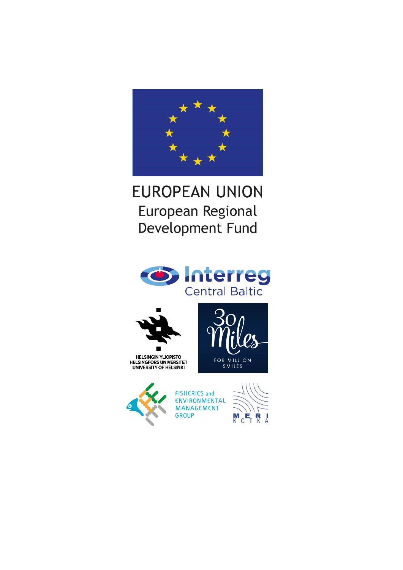

# **EUROPEAN UNION** European Regional Development Fund





HELSINGIN YLIOPISTO<br>HELSINGFORS UNIVERSITET<br>UNIVERSITY OF HELSINKI





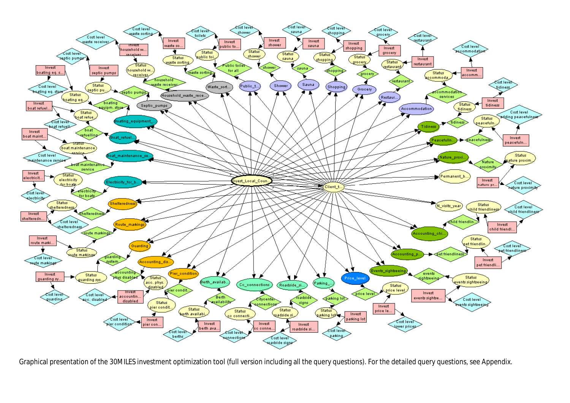

Graphical presentation of the 30MILES investment optimization tool (full version including all the query questions). For the detailed query questions, see Appendix.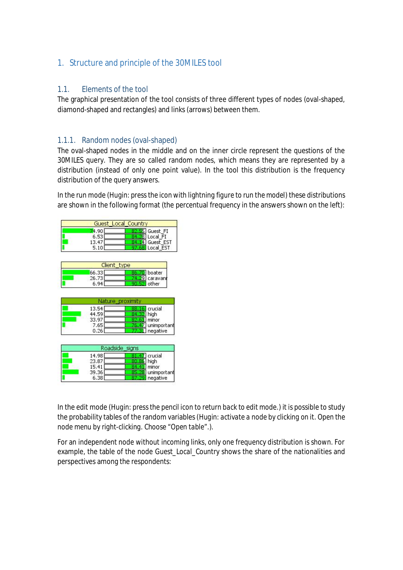## 1. Structure and principle of the 30MILES tool

### 1.1. Elements of the tool

The graphical presentation of the tool consists of three different types of nodes (oval-shaped, diamond-shaped and rectangles) and links (arrows) between them.

#### 1.1.1. Random nodes (oval-shaped)

The oval-shaped nodes in the middle and on the inner circle represent the questions of the 30MILES query. They are so called random nodes, which means they are represented by a distribution (instead of only one point value). In the tool this distribution is the frequency distribution of the query answers.

In the run mode (*Hugin: press the icon with lightning figure to run the model*) these distributions are shown in the following format (the percentual frequency in the answers shown on the left):

|      | <b>Guest Local Country</b> |
|------|----------------------------|
| 4.91 | Guest_FI                   |
| 6.53 | Local FI                   |
| 13.4 | Guest EST                  |
|      | ocal FST                   |

| Client type |          |
|-------------|----------|
| 66.33       | I boater |
| 26.73       | caravant |
| 6.94        | other    |

| 13.54<br>44.59 | crucial<br>high         |
|----------------|-------------------------|
| 33.97          | minor                   |
| 7.65<br>0.26   | unimportant<br>negative |

|       | Roadside signs |
|-------|----------------|
| 14.98 | 7 crucial      |
| 23.87 | high           |
| 15.41 | minor          |
| 39.36 | unimportant    |
| 6.38  | negative       |

In the edit mode (*Hugin: press the pencil icon to return back to edit mode.*) it is possible to study the probability tables of the random variables (*Hugin: activate a node by clicking on it. Open the node menu by right-clicking. Choose "Open table".*).

For an independent node without incoming links, only one frequency distribution is shown. For example, the table of the node *Guest\_Local\_Country* shows the share of the nationalities and perspectives among the respondents: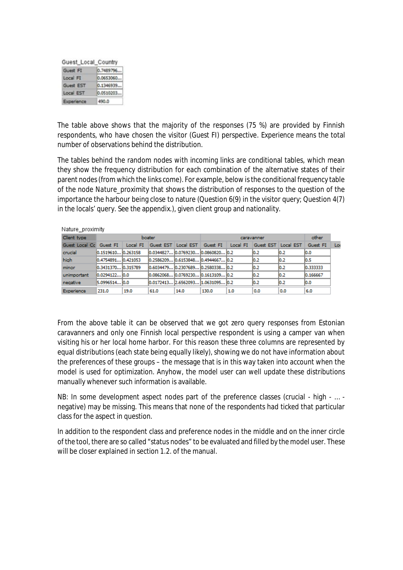| Guest Local Country |           |
|---------------------|-----------|
| Guest FI            | 0.7489796 |
| Local FI            | 0.0653060 |
| Guest EST           | 0.1346939 |
| Local EST           | 0.0510203 |
| Experience          | 490.0     |

The table above shows that the majority of the responses (75 %) are provided by Finnish respondents, who have chosen the visitor (*Guest FI*) perspective. *Experience* means the total number of observations behind the distribution.

The tables behind the random nodes with incoming links are conditional tables, which mean they show the frequency distribution for each combination of the alternative states of their parent nodes (from which the links come). For example, below is the conditional frequency table of the node *Nature\_proximity* that shows the distribution of responses to the question of the importance the harbour being close to nature (Question 6(9) in the visitor query; Question 4(7) in the locals' query. See the appendix.), given client group and nationality.

| Nature proximity        |                     |          |                                       |                     |          |          |                     |      |          |     |
|-------------------------|---------------------|----------|---------------------------------------|---------------------|----------|----------|---------------------|------|----------|-----|
| Client type             |                     |          | boater                                |                     |          |          | caravanner          |      | other    |     |
| Guest Local Cc Guest FI |                     | Local FI |                                       | Guest EST Local EST | Guest FI | Local FI | Guest EST Local EST |      | Guest FI | Loc |
| crucial                 | 10.151961010.263158 |          | 0.0344827 0.0769230 0.0860820 0.2     |                     |          |          | 10.2                | 0.2  | 10.0     |     |
| high                    | 0.4754891 0.421053  |          | l0.2586209 l0.6153848 l0.4944667 l0.2 |                     |          |          | 10.2                | 10.2 | 10.5     |     |
| minor                   | 0.343137010.315789  |          | l0.6034479 l0.2307689 l0.2580338 l0.2 |                     |          |          | 10.2                | 10.2 | 0.333333 |     |
| unimportant             | $0.0294122$ $0.0$   |          | l0.0862068 l0.0769230 l0.1613109 l0.2 |                     |          |          | 0.2                 | 10.2 | 0.166667 |     |
| negative                | 15.0996514 10.0     |          | l0.0172413 2.6562093 1.0631095 l0.2   |                     |          |          | 10.2                | 10.2 | 10.0     |     |
| Experience              | 231.0               | 19.0     | 61.0                                  | 14.0                | 130.0    | 1.0      | 0.0                 | 0.0  | 6.0      |     |

From the above table it can be observed that we got zero query responses from Estonian caravanners and only one Finnish local perspective respondent is using a camper van when visiting his or her local home harbor. For this reason these three columns are represented by equal distributions (each state being equally likely), showing we do not have information about the preferences of these groups – the message that is in this way taken into account when the model is used for optimization. Anyhow, the model user can well update these distributions manually whenever such information is available.

NB: In some development aspect nodes part of the preference classes (crucial - high - … negative) may be missing. This means that none of the respondents had ticked that particular class for the aspect in question.

In addition to the respondent class and preference nodes in the middle and on the inner circle of the tool, there are so called "status nodes" to be evaluated and filled by the model user. These will be closer explained in section 1.2. of the manual.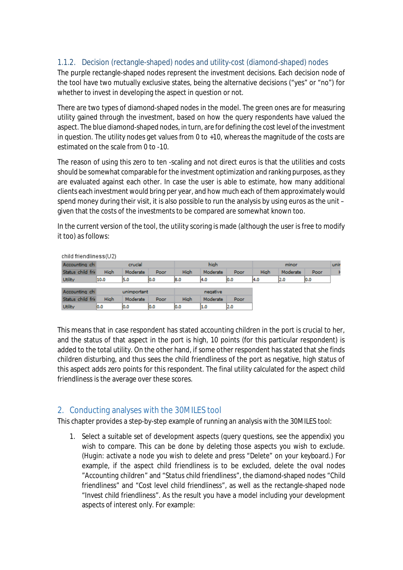## 1.1.2. Decision (rectangle-shaped) nodes and utility-cost (diamond-shaped) nodes

The purple rectangle-shaped nodes represent the investment decisions. Each decision node of the tool have two mutually exclusive states, being the alternative decisions ("yes" or "no") for whether to invest in developing the aspect in question or not.

There are two types of diamond-shaped nodes in the model. The green ones are for measuring utility gained through the investment, based on how the query respondents have valued the aspect. The blue diamond-shaped nodes, in turn, are for defining the cost level of the investment in question. The utility nodes get values from 0 to +10, whereas the magnitude of the costs are estimated on the scale from 0 to -10.

The reason of using this zero to ten -scaling and not direct euros is that the utilities and costs should be somewhat comparable for the investment optimization and ranking purposes, as they are evaluated against each other. In case the user is able to estimate, how many additional clients each investment would bring per year, and how much each of them approximately would spend money during their visit, it is also possible to run the analysis by using euros as the unit – given that the costs of the investments to be compared are somewhat known too.

In the current version of the tool, the utility scoring is made (although the user is free to modify it too) as follows:

| child friendliness(U2) |      |             |      |      |          |      |      |          |      |      |
|------------------------|------|-------------|------|------|----------|------|------|----------|------|------|
| Accounting chi         |      | crucial     |      |      | high     |      |      | minor    |      | unin |
| Status child frie      | High | Moderate    | Poor | High | Moderate | Poor | High | Moderate | Poor |      |
| Utility                | 10.0 | 5.0         | 10.0 | 18.0 | 4.0      | 10.0 | 14.0 | 2.0      | 10.0 |      |
| Accounting chi         |      | unimportant |      |      | negative |      |      |          |      |      |
| Status child frie      | High | Moderate    | Poor | High | Moderate | Poor |      |          |      |      |
| <b>Utility</b>         | 0.0  | 10.0        | 0.0  | 10.0 | 1.0      | 2.0  |      |          |      |      |

This means that in case respondent has stated accounting children in the port is crucial to her, and the status of that aspect in the port is high, 10 points (for this particular respondent) is added to the total utility. On the other hand, if some other respondent has stated that she finds children disturbing, and thus sees the child friendliness of the port as negative, high status of this aspect adds zero points for this respondent. The final utility calculated for the aspect child friendliness is the average over these scores.

## 2. Conducting analyses with the 30MILES tool

This chapter provides a step-by-step example of running an analysis with the 30MILES tool:

1. Select a suitable set of development aspects (query questions, see the appendix) you wish to compare. This can be done by deleting those aspects you wish to exclude. (*Hugin: activate a node you wish to delete and press "Delete" on your keyboard.*) For example, if the aspect child friendliness is to be excluded, delete the oval nodes "*Accounting children*" and "*Status child friendliness*", the diamond-shaped nodes "*Child friendliness*" and "*Cost level child friendliness*", as well as the rectangle-shaped node "*Invest child friendliness*". As the result you have a model including your development aspects of interest only. For example: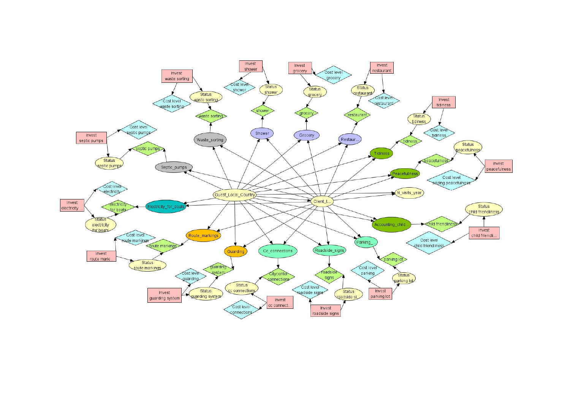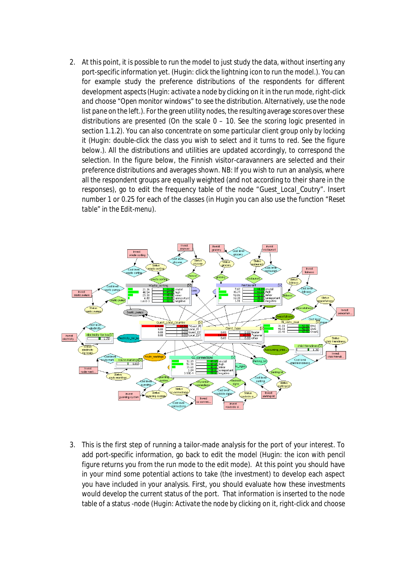2. At this point, it is possible to run the model to just study the data, without inserting any port-specific information yet. (*Hugin: click the lightning icon to run the model*.). You can for example study the preference distributions of the respondents for different development aspects (*Hugin: activate a node by clicking on it in the run mode, right-click and choose "Open monitor windows" to see the distribution. Alternatively, use the node list pane on the left.*). For the green utility nodes, the resulting average scores over these distributions are presented (On the scale 0 – 10. See the scoring logic presented in section 1.1.2). You can also concentrate on some particular client group only by locking it (*Hugin: double-click the class you wish to select and it turns to red. See the figure below.*). All the distributions and utilities are updated accordingly, to correspond the selection. In the figure below, the Finnish visitor-caravanners are selected and their preference distributions and averages shown. NB: If you wish to run an analysis, where all the respondent groups are equally weighted (and not according to their share in the responses), go to edit the frequency table of the node "*Guest\_Local\_Coutry*". Insert number 1 or 0.25 for each of the classes (*in Hugin you can also use the function "Reset table" in the Edit-menu*).



3. This is the first step of running a tailor-made analysis for the port of your interest. To add port-specific information, go back to edit the model (*Hugin: the icon with pencil figure returns you from the run mode to the edit mode*). At this point you should have in your mind some potential actions to take (the investment) to develop each aspect you have included in your analysis. First, you should evaluate how these investments would develop the current status of the port. That information is inserted to the node table of a status -node (*Hugin: Activate the node by clicking on it, right-click and choose*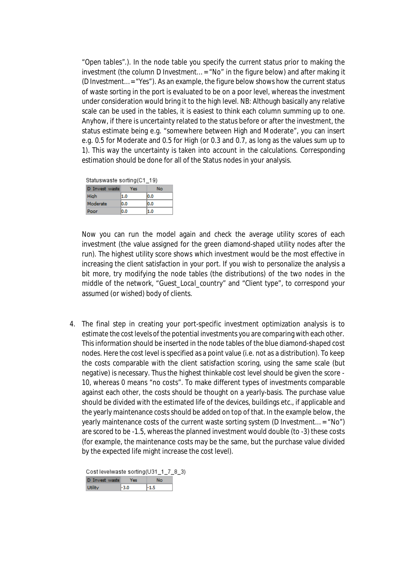*"Open tables".*). In the node table you specify the current status prior to making the investment (the column *D Investment… = "No"* in the figure below) and after making it (*D Investment… = "Yes"*). As an example, the figure below shows how the current status of waste sorting in the port is evaluated to be on a poor level, whereas the investment under consideration would bring it to the high level. NB: Although basically any relative scale can be used in the tables, it is easiest to think each column summing up to one. Anyhow, if there is uncertainty related to the status before or after the investment, the status estimate being e.g. "somewhere between High and Moderate", you can insert e.g. 0.5 for Moderate and 0.5 for High (or 0.3 and 0.7, as long as the values sum up to 1). This way the uncertainty is taken into account in the calculations. Corresponding estimation should be done for all of the Status nodes in your analysis.

Statuswaste sorting(C1\_19)

| D Invest waste | Yes | No   |
|----------------|-----|------|
| High           | 1.0 | 10.0 |
| Moderate       | 0.0 | 10.0 |
| Poor           | 0.0 | 1.0  |

Now you can run the model again and check the average utility scores of each investment (the value assigned for the green diamond-shaped utility nodes after the run). The highest utility score shows which investment would be the most effective in increasing the client satisfaction in your port. If you wish to personalize the analysis a bit more, try modifying the node tables (the distributions) of the two nodes in the middle of the network, "*Guest\_Local\_country*" and "*Client type*", to correspond your assumed (or wished) body of clients.

4. The final step in creating your port-specific investment optimization analysis is to estimate the cost levels of the potential investments you are comparing with each other. This information should be inserted in the node tables of the blue diamond-shaped cost nodes. Here the cost level is specified as a point value (i.e. not as a distribution). To keep the costs comparable with the client satisfaction scoring, using the same scale (but negative) is necessary. Thus the highest thinkable cost level should be given the score - 10, whereas 0 means "no costs". To make different types of investments comparable against each other, the costs should be thought on a yearly-basis. The purchase value should be divided with the estimated life of the devices, buildings etc., if applicable and the yearly maintenance costs should be added on top of that. In the example below, the yearly maintenance costs of the current waste sorting system (D Investment… = "No") are scored to be -1.5, whereas the planned investment would double (to -3) these costs (for example, the maintenance costs may be the same, but the purchase value divided by the expected life might increase the cost level).

Cost levelwaste sorting(U31 1 7 8 3) D Invest waste Yes No Littlity  $|-3.0|$ -1.5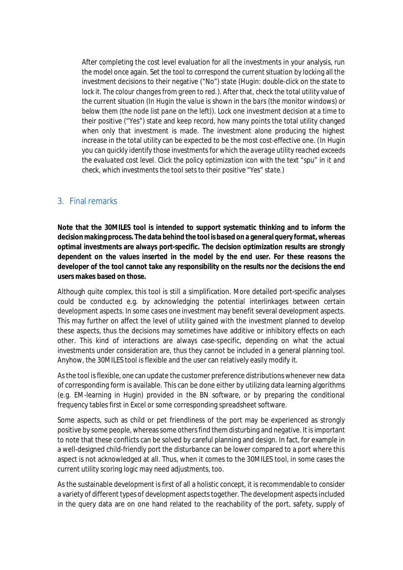After completing the cost level evaluation for all the investments in your analysis, run the model once again. Set the tool to correspond the current situation by locking all the investment decisions to their negative ("No") state (*Hugin: double-click on the state to lock it. The colour changes from green to red.*). After that, check the total utility value of the current situation (*In Hugin the value is shown in the bars (the monitor windows) or below them (the node list pane on the left)*). Lock one investment decision at a time to their positive ("Yes") state and keep record, how many points the total utility changed when only that investment is made. The investment alone producing the highest increase in the total utility can be expected to be the most cost-effective one. (*In Hugin you can quickly identify those investments for which the average utility reached exceeds the evaluated cost level. Click the policy optimization icon with the text "spu" in it and check, which investments the tool sets to their positive "Yes" state.)*

#### 3. Final remarks

**Note that the 30MILES tool is intended to support systematic thinking and to inform the decision making process. The data behind the tool is based on a general query format, whereas optimal investments are always port-specific. The decision optimization results are strongly dependent on the values inserted in the model by the end user. For these reasons the developer of the tool cannot take any responsibility on the results nor the decisions the end users makes based on those.**

Although quite complex, this tool is still a simplification. More detailed port-specific analyses could be conducted e.g. by acknowledging the potential interlinkages between certain development aspects. In some cases one investment may benefit several development aspects. This may further on affect the level of utility gained with the investment planned to develop these aspects, thus the decisions may sometimes have additive or inhibitory effects on each other. This kind of interactions are always case-specific, depending on what the actual investments under consideration are, thus they cannot be included in a general planning tool. Anyhow, the 30MILES tool is flexible and the user can relatively easily modify it.

As the tool is flexible, one can update the customer preference distributions whenever new data of corresponding form is available. This can be done either by utilizing data learning algorithms (e.g. EM-learning in Hugin) provided in the BN software, or by preparing the conditional frequency tables first in Excel or some corresponding spreadsheet software.

Some aspects, such as child or pet friendliness of the port may be experienced as strongly positive by some people, whereas some others find them disturbing and negative. It is important to note that these conflicts can be solved by careful planning and design. In fact, for example in a well-designed child-friendly port the disturbance can be lower compared to a port where this aspect is not acknowledged at all. Thus, when it comes to the 30MILES tool, in some cases the current utility scoring logic may need adjustments, too.

As the sustainable development is first of all a holistic concept, it is recommendable to consider a variety of different types of development aspects together. The development aspects included in the query data are on one hand related to the reachability of the port, safety, supply of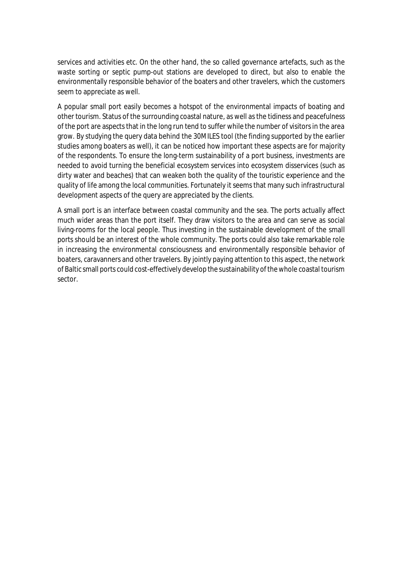services and activities etc. On the other hand, the so called governance artefacts, such as the waste sorting or septic pump-out stations are developed to direct, but also to enable the environmentally responsible behavior of the boaters and other travelers, which the customers seem to appreciate as well.

A popular small port easily becomes a hotspot of the environmental impacts of boating and other tourism. Status of the surrounding coastal nature, as well as the tidiness and peacefulness of the port are aspects that in the long run tend to suffer while the number of visitors in the area grow. By studying the query data behind the 30MILES tool (the finding supported by the earlier studies among boaters as well), it can be noticed how important these aspects are for majority of the respondents. To ensure the long-term sustainability of a port business, investments are needed to avoid turning the beneficial ecosystem services into ecosystem disservices (such as dirty water and beaches) that can weaken both the quality of the touristic experience and the quality of life among the local communities. Fortunately it seems that many such infrastructural development aspects of the query are appreciated by the clients.

A small port is an interface between coastal community and the sea. The ports actually affect much wider areas than the port itself. They draw visitors to the area and can serve as social living-rooms for the local people. Thus investing in the sustainable development of the small ports should be an interest of the whole community. The ports could also take remarkable role in increasing the environmental consciousness and environmentally responsible behavior of boaters, caravanners and other travelers. By jointly paying attention to this aspect, the network of Baltic small ports could cost-effectively develop the sustainability of the whole coastal tourism sector.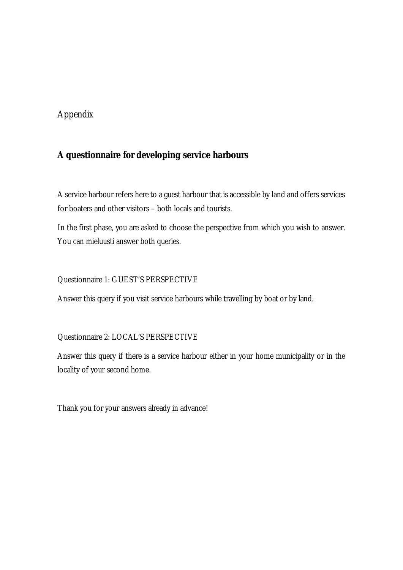# Appendix

# **A questionnaire for developing service harbours**

A service harbour refers here to a guest harbour that is accessible by land and offers services for boaters and other visitors – both locals and tourists.

In the first phase, you are asked to choose the perspective from which you wish to answer. You can mieluusti answer both queries.

## Questionnaire 1: GUEST'S PERSPECTIVE

Answer this query if you visit service harbours while travelling by boat or by land.

## Questionnaire 2: LOCAL'S PERSPECTIVE

Answer this query if there is a service harbour either in your home municipality or in the locality of your second home.

Thank you for your answers already in advance!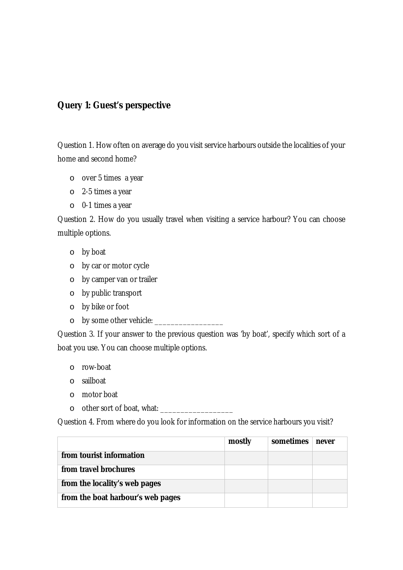## **Query 1: Guest's perspective**

Question 1. How often on average do you visit service harbours outside the localities of your home and second home?

- o over 5 times a year
- o 2-5 times a year
- o 0-1 times a year

Question 2. How do you usually travel when visiting a service harbour? You can choose multiple options.

- o by boat
- o by car or motor cycle
- o by camper van or trailer
- o by public transport
- o by bike or foot
- o by some other vehicle: \_\_\_\_\_\_\_\_\_\_\_\_\_\_\_\_\_

Question 3. If your answer to the previous question was 'by boat', specify which sort of a boat you use. You can choose multiple options.

- o row-boat
- o sailboat
- o motor boat
- o other sort of boat, what: \_\_\_\_\_\_\_\_\_\_\_\_\_\_\_\_\_\_

Question 4. From where do you look for information on the service harbours you visit?

|                                   | mostly | sometimes | never |
|-----------------------------------|--------|-----------|-------|
| from tourist information          |        |           |       |
| from travel brochures             |        |           |       |
| from the locality's web pages     |        |           |       |
| from the boat harbour's web pages |        |           |       |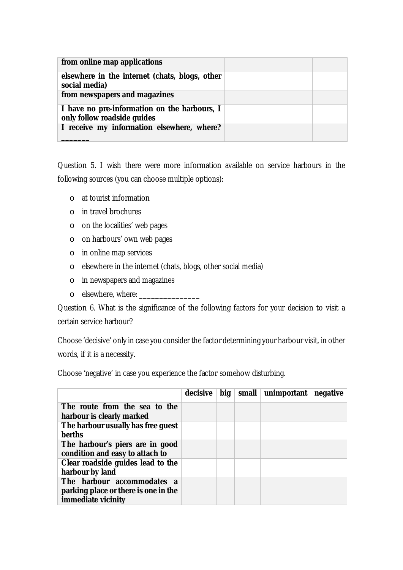| from online map applications                                                |  |  |
|-----------------------------------------------------------------------------|--|--|
| elsewhere in the internet (chats, blogs, other<br>social media)             |  |  |
| from newspapers and magazines                                               |  |  |
| I have no pre-information on the harbours, I<br>only follow roadside guides |  |  |
| I receive my information elsewhere, where?                                  |  |  |

Question 5. I wish there were more information available on service harbours in the following sources (you can choose multiple options):

- o at tourist information
- o in travel brochures
- o on the localities' web pages
- o on harbours' own web pages
- o in online map services
- o elsewhere in the internet (chats, blogs, other social media)
- o in newspapers and magazines
- $\circ$  elsewhere, where:

Question 6. What is the significance of the following factors for your decision to visit a certain service harbour?

Choose 'decisive' only in case you consider the factor determining your harbour visit, in other words, if it is a necessity.

**decisive big small unimportant negative The route from the sea to the harbour is clearly marked The harbour usually has free guest berths The harbour's piers are in good condition and easy to attach to Clear roadside guides lead to the harbour by land The harbour accommodates a parking place or there is one in the immediate vicinity**

Choose 'negative' in case you experience the factor somehow disturbing.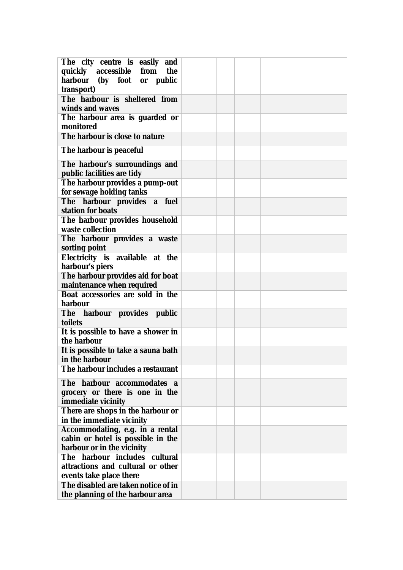| The city centre is easily and                               |  |  |  |
|-------------------------------------------------------------|--|--|--|
| quickly accessible from the                                 |  |  |  |
| harbour (by foot or public                                  |  |  |  |
| transport)                                                  |  |  |  |
| The harbour is sheltered from                               |  |  |  |
| winds and waves                                             |  |  |  |
| The harbour area is guarded or                              |  |  |  |
| monitored<br>The harbour is close to nature                 |  |  |  |
|                                                             |  |  |  |
| The harbour is peaceful                                     |  |  |  |
| The harbour's surroundings and                              |  |  |  |
| public facilities are tidy                                  |  |  |  |
| The harbour provides a pump-out                             |  |  |  |
| for sewage holding tanks                                    |  |  |  |
| The harbour provides a fuel                                 |  |  |  |
| station for boats                                           |  |  |  |
| The harbour provides household                              |  |  |  |
| waste collection                                            |  |  |  |
| The harbour provides a waste                                |  |  |  |
| sorting point                                               |  |  |  |
| Electricity is available at the<br>harbour's piers          |  |  |  |
| The harbour provides aid for boat                           |  |  |  |
| maintenance when required                                   |  |  |  |
| Boat accessories are sold in the                            |  |  |  |
| harbour                                                     |  |  |  |
| The harbour provides public                                 |  |  |  |
| toilets                                                     |  |  |  |
| It is possible to have a shower in                          |  |  |  |
| the harbour                                                 |  |  |  |
| It is possible to take a sauna bath                         |  |  |  |
| in the harbour                                              |  |  |  |
| The harbour includes a restaurant                           |  |  |  |
| The harbour accommodates a                                  |  |  |  |
| grocery or there is one in the                              |  |  |  |
| immediate vicinity                                          |  |  |  |
| There are shops in the harbour or                           |  |  |  |
| in the immediate vicinity                                   |  |  |  |
| Accommodating, e.g. in a rental                             |  |  |  |
| cabin or hotel is possible in the                           |  |  |  |
| harbour or in the vicinity<br>The harbour includes cultural |  |  |  |
| attractions and cultural or other                           |  |  |  |
| events take place there                                     |  |  |  |
| The disabled are taken notice of in                         |  |  |  |
| the planning of the harbour area                            |  |  |  |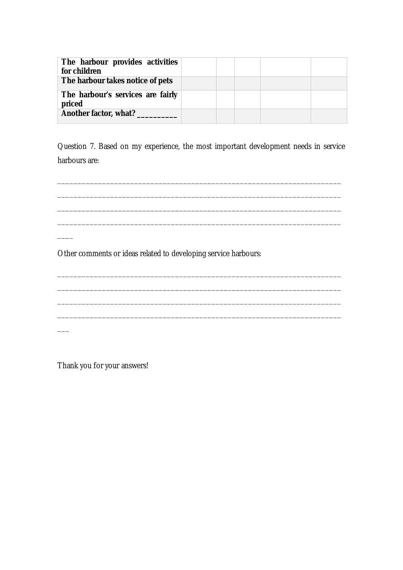| The harbour provides activities<br>for children |  |  |  |
|-------------------------------------------------|--|--|--|
| The harbour takes notice of pets                |  |  |  |
| The harbour's services are fairly<br>priced     |  |  |  |
| Another factor, what?                           |  |  |  |

Question 7. Based on my experience, the most important development needs in service harbours are:

\_\_\_\_\_\_\_\_\_\_\_\_\_\_\_\_\_\_\_\_\_\_\_\_\_\_\_\_\_\_\_\_\_\_\_\_\_\_\_\_\_\_\_\_\_\_\_\_\_\_\_\_\_\_\_\_\_\_\_\_\_\_\_\_\_\_\_\_\_\_

\_\_\_\_\_\_\_\_\_\_\_\_\_\_\_\_\_\_\_\_\_\_\_\_\_\_\_\_\_\_\_\_\_\_\_\_\_\_\_\_\_\_\_\_\_\_\_\_\_\_\_\_\_\_\_\_\_\_\_\_\_\_\_\_\_\_\_\_\_\_

\_\_\_\_\_\_\_\_\_\_\_\_\_\_\_\_\_\_\_\_\_\_\_\_\_\_\_\_\_\_\_\_\_\_\_\_\_\_\_\_\_\_\_\_\_\_\_\_\_\_\_\_\_\_\_\_\_\_\_\_\_\_\_\_\_\_\_\_\_\_

\_\_\_\_\_\_\_\_\_\_\_\_\_\_\_\_\_\_\_\_\_\_\_\_\_\_\_\_\_\_\_\_\_\_\_\_\_\_\_\_\_\_\_\_\_\_\_\_\_\_\_\_\_\_\_\_\_\_\_\_\_\_\_\_\_\_\_\_\_\_

\_\_\_\_\_\_\_\_\_\_\_\_\_\_\_\_\_\_\_\_\_\_\_\_\_\_\_\_\_\_\_\_\_\_\_\_\_\_\_\_\_\_\_\_\_\_\_\_\_\_\_\_\_\_\_\_\_\_\_\_\_\_\_\_\_\_\_\_\_\_

\_\_\_\_\_\_\_\_\_\_\_\_\_\_\_\_\_\_\_\_\_\_\_\_\_\_\_\_\_\_\_\_\_\_\_\_\_\_\_\_\_\_\_\_\_\_\_\_\_\_\_\_\_\_\_\_\_\_\_\_\_\_\_\_\_\_\_\_\_\_

\_\_\_\_\_\_\_\_\_\_\_\_\_\_\_\_\_\_\_\_\_\_\_\_\_\_\_\_\_\_\_\_\_\_\_\_\_\_\_\_\_\_\_\_\_\_\_\_\_\_\_\_\_\_\_\_\_\_\_\_\_\_\_\_\_\_\_\_\_\_

\_\_\_\_\_\_\_\_\_\_\_\_\_\_\_\_\_\_\_\_\_\_\_\_\_\_\_\_\_\_\_\_\_\_\_\_\_\_\_\_\_\_\_\_\_\_\_\_\_\_\_\_\_\_\_\_\_\_\_\_\_\_\_\_\_\_\_\_\_\_

Other comments or ideas related to developing service harbours:

Thank you for your answers!

 $\overline{\phantom{a}}$ 

 $\mathcal{L}_\mathcal{L}$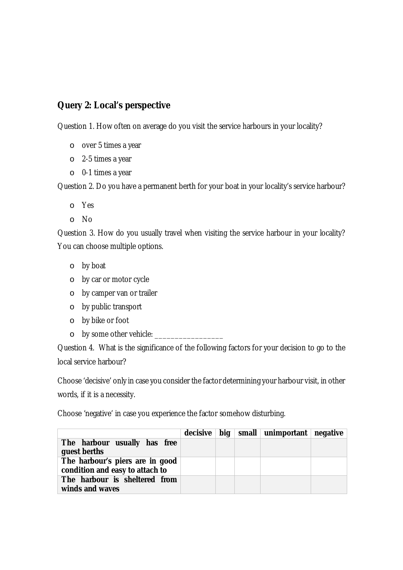# **Query 2: Local's perspective**

Question 1. How often on average do you visit the service harbours in your locality?

- o over 5 times a year
- o 2-5 times a year
- o 0-1 times a year

Question 2. Do you have a permanent berth for your boat in your locality's service harbour?

- o Yes
- o No

Question 3. How do you usually travel when visiting the service harbour in your locality? You can choose multiple options.

- o by boat
- o by car or motor cycle
- o by camper van or trailer
- o by public transport
- o by bike or foot
- o by some other vehicle: \_\_\_\_\_\_\_\_\_\_\_\_\_

Question 4. What is the significance of the following factors for your decision to go to the local service harbour?

Choose 'decisive' only in case you consider the factor determining your harbour visit, in other words, if it is a necessity.

Choose 'negative' in case you experience the factor somehow disturbing.

|                                 |  | decisive   big   small   unimportant   negative |  |
|---------------------------------|--|-------------------------------------------------|--|
| The harbour usually has free    |  |                                                 |  |
| guest berths                    |  |                                                 |  |
| The harbour's piers are in good |  |                                                 |  |
| condition and easy to attach to |  |                                                 |  |
| The harbour is sheltered from   |  |                                                 |  |
| winds and waves                 |  |                                                 |  |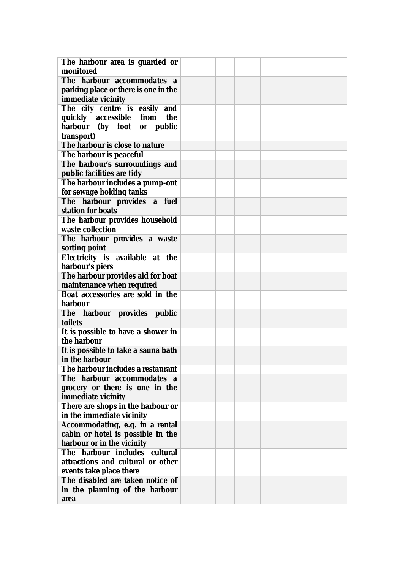| The harbour area is guarded or       |  |  |  |
|--------------------------------------|--|--|--|
| monitored                            |  |  |  |
| The harbour accommodates a           |  |  |  |
| parking place or there is one in the |  |  |  |
| immediate vicinity                   |  |  |  |
| The city centre is easily and        |  |  |  |
| quickly accessible from<br>the       |  |  |  |
| harbour (by foot or public           |  |  |  |
| transport)                           |  |  |  |
| The harbour is close to nature       |  |  |  |
| The harbour is peaceful              |  |  |  |
| The harbour's surroundings and       |  |  |  |
| public facilities are tidy           |  |  |  |
| The harbour includes a pump-out      |  |  |  |
| for sewage holding tanks             |  |  |  |
| The harbour provides a fuel          |  |  |  |
| station for boats                    |  |  |  |
| The harbour provides household       |  |  |  |
| waste collection                     |  |  |  |
| The harbour provides a waste         |  |  |  |
| sorting point                        |  |  |  |
| Electricity is available at the      |  |  |  |
| harbour's piers                      |  |  |  |
| The harbour provides aid for boat    |  |  |  |
| maintenance when required            |  |  |  |
| Boat accessories are sold in the     |  |  |  |
| harbour                              |  |  |  |
| The harbour provides public          |  |  |  |
| toilets                              |  |  |  |
| It is possible to have a shower in   |  |  |  |
| the harbour                          |  |  |  |
| It is possible to take a sauna bath  |  |  |  |
| in the harbour                       |  |  |  |
| The harbour includes a restaurant    |  |  |  |
| The harbour accommodates a           |  |  |  |
| grocery or there is one in the       |  |  |  |
| immediate vicinity                   |  |  |  |
| There are shops in the harbour or    |  |  |  |
| in the immediate vicinity            |  |  |  |
| Accommodating, e.g. in a rental      |  |  |  |
| cabin or hotel is possible in the    |  |  |  |
| harbour or in the vicinity           |  |  |  |
| The harbour includes cultural        |  |  |  |
| attractions and cultural or other    |  |  |  |
| events take place there              |  |  |  |
| The disabled are taken notice of     |  |  |  |
| in the planning of the harbour       |  |  |  |
| area                                 |  |  |  |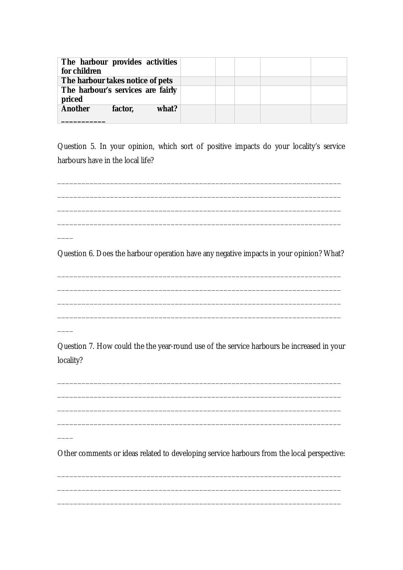| The harbour provides activities<br>for children |         |       |  |  |  |
|-------------------------------------------------|---------|-------|--|--|--|
| The harbour takes notice of pets                |         |       |  |  |  |
| The harbour's services are fairly<br>priced     |         |       |  |  |  |
| Another                                         | factor, | what? |  |  |  |

Question 5. In your opinion, which sort of positive impacts do your locality's service harbours have in the local life?

Question 6. Does the harbour operation have any negative impacts in your opinion? What?

Question 7. How could the the year-round use of the service harbours be increased in your locality?

Other comments or ideas related to developing service harbours from the local perspective: